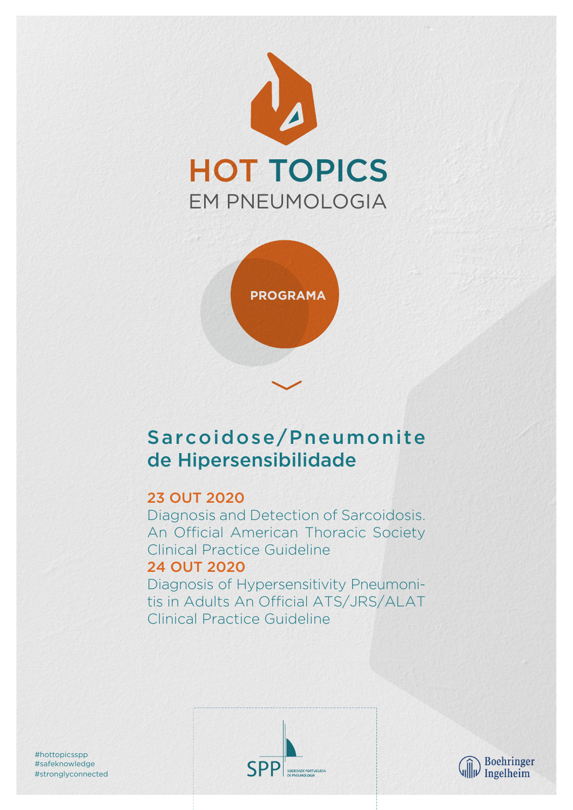



# Sarcoidose/Pneumonite de Hipersensibilidade

# 23 OUT 2020

Diagnosis and Detection of Sarcoidosis. An Official American Thoracic Society Clinical Practice Guideline 24 OUT 2020

Diagnosis of Hypersensitivity Pneumonitis in Adults An Official ATS/JRS/ALAT Clinical Practice Guideline





#stronglyconnected #safeknowledge #hottopicsspp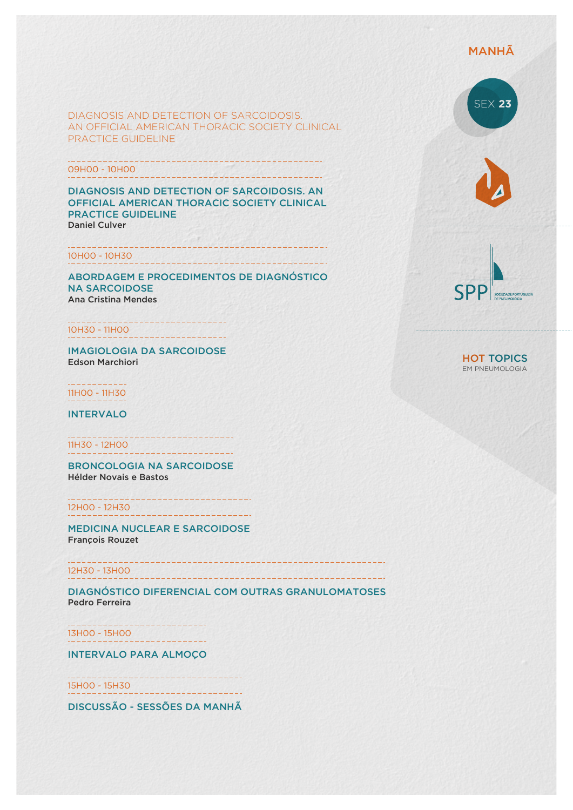## MANHÃ

DIAGNOSIS AND DETECTION OF SARCOIDOSIS. AN OFFICIAL AMERICAN THORACIC SOCIETY CLINICAL PRACTICE GUIDELINE

-----------

<u> IVA A LE VERLAIGENDUM GEDI</u>

-------------------------------

09H00 - 10H00

DIAGNOSIS AND DETECTION OF SARCOIDOSIS. AN OFFICIAL AMERICAN THORACIC SOCIETY CLINICAL PRACTICE GUIDELINE Daniel Culver

#### 10H00 - 10H30

ABORDAGEM E PROCEDIMENTOS DE DIAGNÓSTICO NA SARCOIDOSE Ana Cristina Mendes

10H30 - 11H00

IMAGIOLOGIA DA SARCOIDOSE Edson Marchiori

11H00 - 11H30

INTERVALO

11H30 - 12H00 . . . . . . . . . . . . . . . . . . . .

BRONCOLOGIA NA SARCOIDOSE Hélder Novais e Bastos

12H00 - 12H30

MEDICINA NUCLEAR E SARCOIDOSE François Rouzet

12H30 - 13H00

DIAGNÓSTICO DIFERENCIAL COM OUTRAS GRANULOMATOSES Pedro Ferreira

---------------13H00 - 15H00

INTERVALO PARA ALMOÇO

<u> La Branche (San Branche)</u> 15H00 - 15H30 **WELL-ASSESSED BEEN AREA** 

DISCUSSÃO - SESSÕES DA MANHÃ







HOT TOPICS EM PNEUMOLOGIA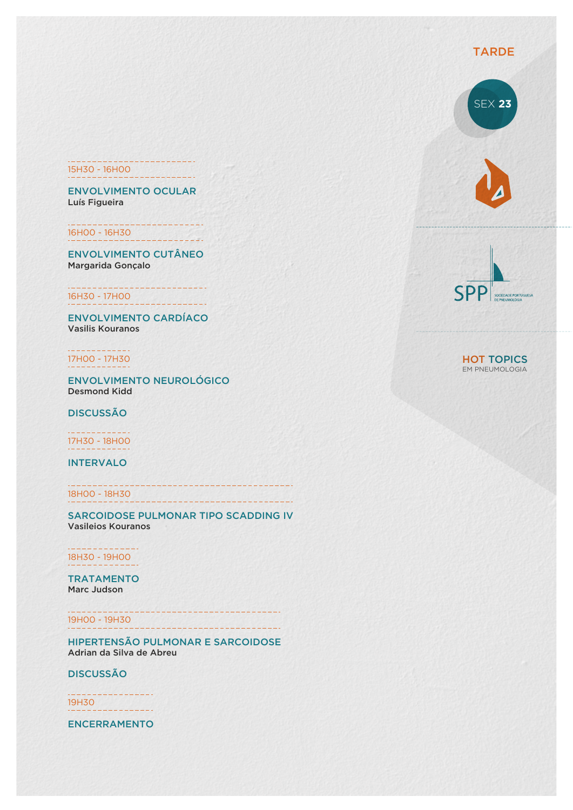## 15H30 - 16H00

ENVOLVIMENTO OCULAR Luís Figueira

16H00 - 16H30

ENVOLVIMENTO CUTÂNEO Margarida Gonçalo

16H30 - 17H00

ENVOLVIMENTO CARDÍACO Vasilis Kouranos

17H00 - 17H30

ENVOLVIMENTO NEUROLÓGICO Desmond Kidd

DISCUSSÃO

17H30 - 18H00

INTERVALO

18H00 - 18H30

SARCOIDOSE PULMONAR TIPO SCADDING IV Vasileios Kouranos

--------------------111111111111111111111

-------------

18H30 - 19H00

TRATAMENTO Marc Judson

19H00 - 19H30

HIPERTENSÃO PULMONAR E SARCOIDOSE Adrian da Silva de Abreu

DISCUSSÃO

19H30

ENCERRAMENTO



SEX **23**



HOT TOPICS EM PNEUMOLOGIA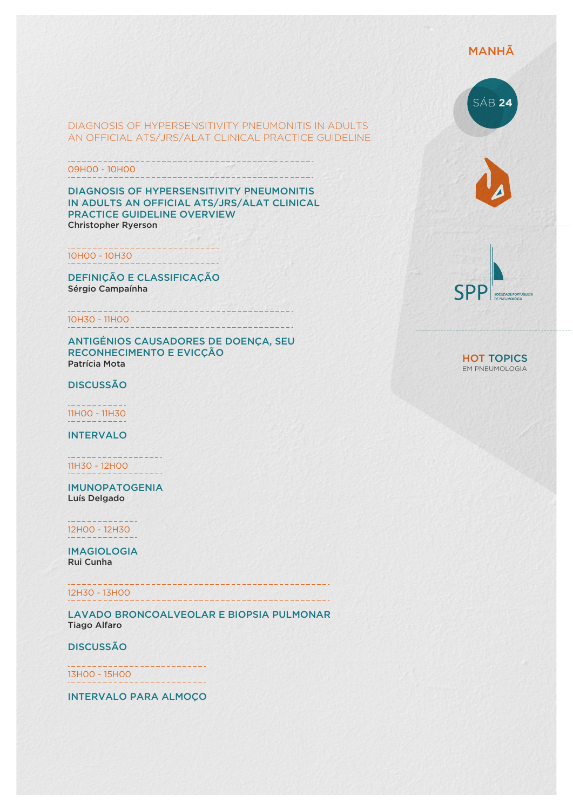## MANHÃ

#### DIAGNOSIS OF HYPERSENSITIVITY PNEUMONITIS IN ADULTS AN OFFICIAL ATS/JRS/ALAT CLINICAL PRACTICE GUIDELINE

09H00 - 10H00 ----------------------

DIAGNOSIS OF HYPERSENSITIVITY PNEUMONITIS IN ADULTS AN OFFICIAL ATS/JRS/ALAT CLINICAL PRACTICE GUIDELINE OVERVIEW Christopher Ryerson

10H00 - 10H30

DEFINIÇÃO E CLASSIFICAÇÃO Sérgio Campaínha

10H30 - 11H00

ANTIGÉNIOS CAUSADORES DE DOENÇA, SEU RECONHECIMENTO E EVICÇÃO Patrícia Mota

DISCUSSÃO

11H00 - 11H30

INTERVALO

11H30 - 12H00

IMUNOPATOGENIA Luís Delgado

12H00 - 12H30

IMAGIOLOGIA Rui Cunha

12H30 - 13H00

LAVADO BRONCOALVEOLAR E BIOPSIA PULMONAR Tiago Alfaro

DISCUSSÃO

13H00 - 15H00

INTERVALO PARA ALMOÇO







HOT TOPICS EM PNEUMOLOGIA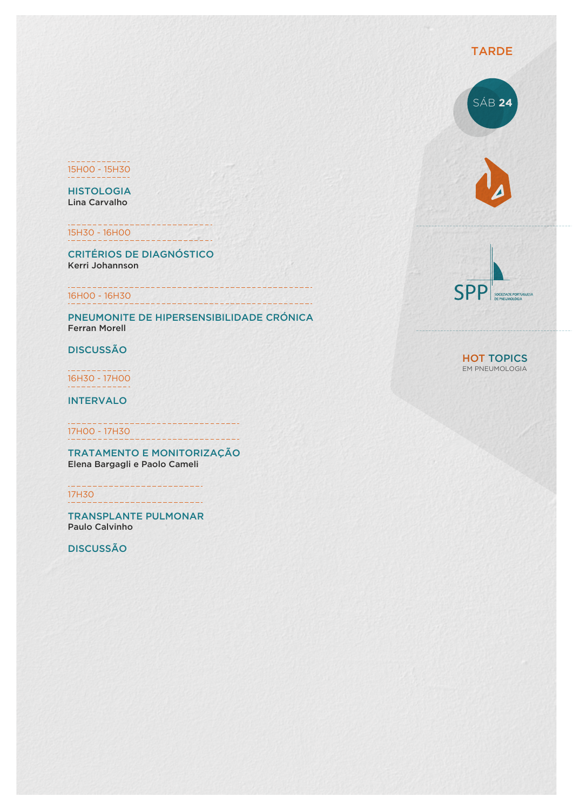#### 15H00 - 15H30

**HISTOLOGIA** Lina Carvalho

15H30 - 16H00

CRITÉRIOS DE DIAGNÓSTICO Kerri Johannson

## 16H00 - 16H30

PNEUMONITE DE HIPERSENSIBILIDADE CRÓNICA Ferran Morell

DISCUSSÃO

16H30 - 17H00

INTERVALO

17H00 - 17H30

TRATAMENTO E MONITORIZAÇÃO Elena Bargagli e Paolo Cameli

17H30

TRANSPLANTE PULMONAR Paulo Calvinho

DISCUSSÃO



#### HOT TOPICS EM PNEUMOLOGIA

### TARDE

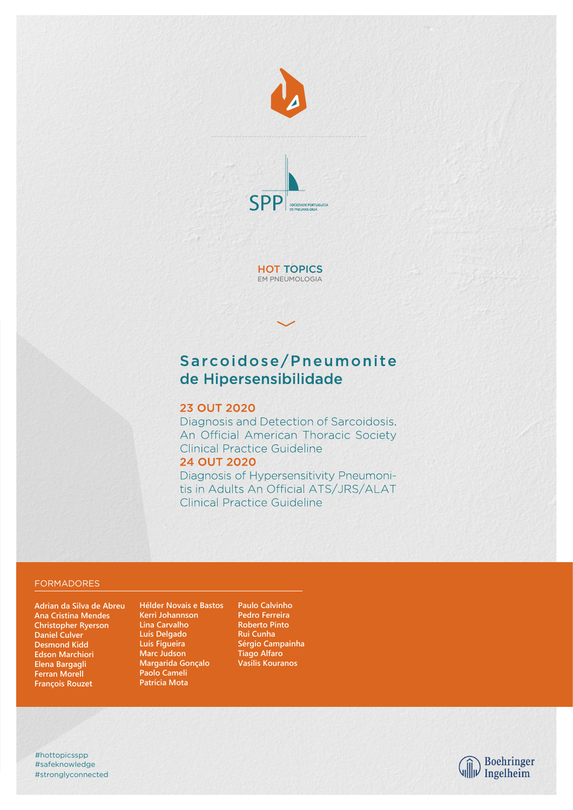



**HOT TOPICS** EM PNEUMOLOGIA

# Sarcoidose/Pneumonite de Hipersensibilidade

#### **23 OUT 2020**

Diagnosis and Detection of Sarcoidosis. An Official American Thoracic Society Clinical Practice Guideline **24 OUT 2020** 

Diagnosis of Hypersensitivity Pneumonitis in Adults An Official ATS/JRS/ALAT **Clinical Practice Guideline** 

#### FORMADORES

**Adrian da Silva de Abreu Ana Cristina Mendes Christopher Ryerson Daniel Culver Desmond Kidd Edson Marchiori Elena Bargagli Ferran Morell François Rouzet**

**Hélder Novais e Bastos Kerri Johannson Lina Carvalho Luís Delgado Luís Figueira Marc Judson Margarida Gonçalo Paolo Cameli Patrícia Mota**

**Paulo Calvinho Pedro Ferreira Roberto Pinto Rui Cunha Sérgio Campainha Tiago Alfaro Vasilis Kouranos**

#stronglyconnected #safeknowledge #hottopicsspp